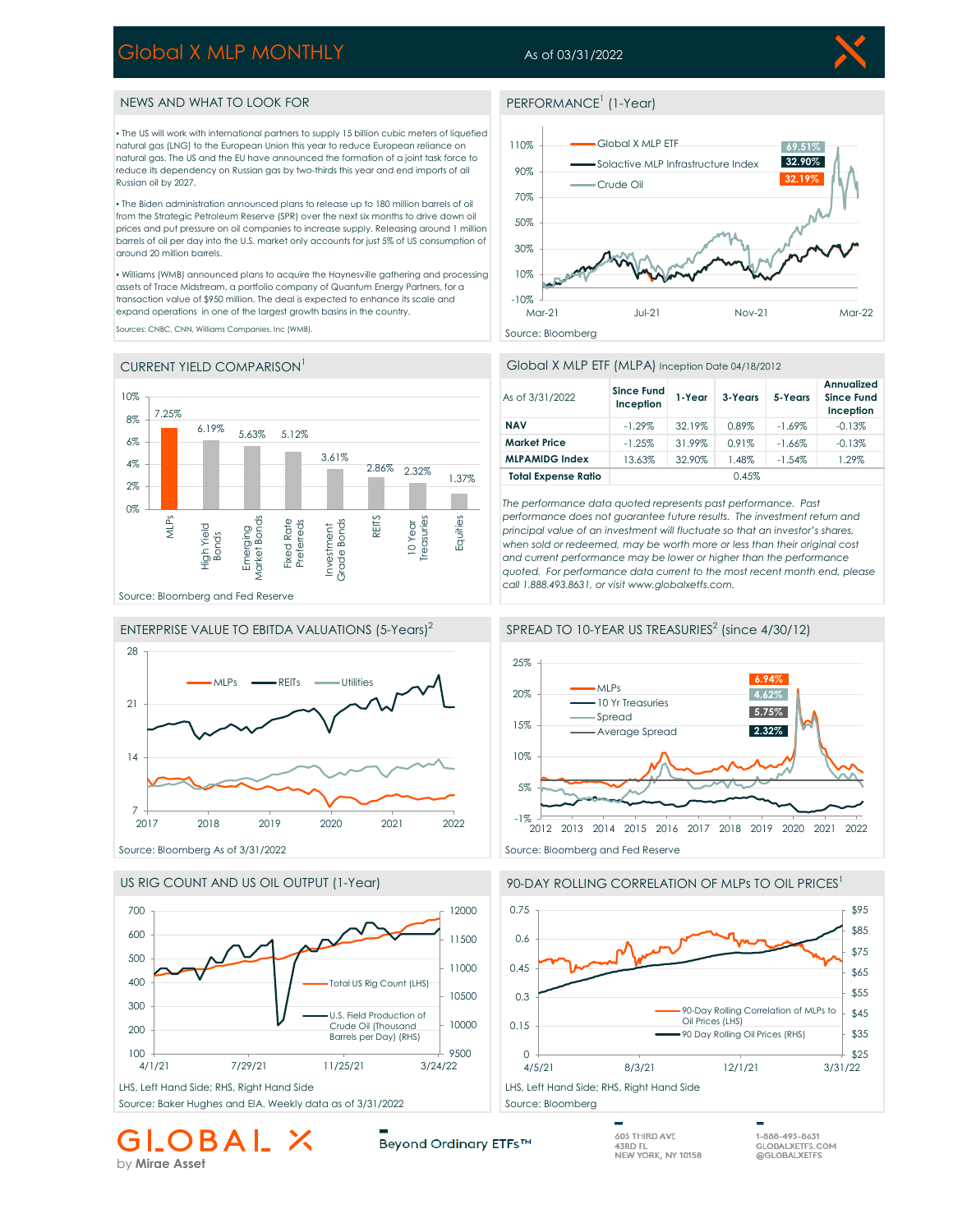# Global X MLP MONTHLY

# As of 03/31/2022



## NEWS AND WHAT TO LOOK FOR

▪ The US will work with international partners to supply 15 billion cubic meters of liquefied natural gas (LNG) to the European Union this year to reduce European reliance on natural gas. The US and the EU have announced the formation of a joint task force to reduce its dependency on Russian gas by two-thirds this year and end imports of all Russian oil by 2027.

▪ The Biden administration announced plans to release up to 180 million barrels of oil from the Strategic Petroleum Reserve (SPR) over the next six months to drive down oil prices and put pressure on oil companies to increase supply. Releasing around 1 million barrels of oil per day into the U.S. market only accounts for just 5% of US consumption of around 20 million barrels.

▪ Williams (WMB) announced plans to acquire the Haynesville gathering and processing assets of Trace Midstream, a portfolio company of Quantum Energy Partners, for a transaction value of \$950 million. The deal is expected to enhance its scale and expand operations in one of the largest growth basins in the country.

Sources: CNBC, CNN, Williams Companies, Inc (WMB).

### CURRENT YIELD COMPARISON<sup>1</sup>









by **Mirae Asset**

Beyond Ordinary ETFs™

### PERFORMANCE<sup>1</sup> (1-Year)



#### Global X MLP ETF (MLPA) Inception Date 04/18/2012

| As of 3/31/2022            | <b>Since Fund</b><br>Inception | 1-Year | 3-Years | 5-Years   | Annualized<br><b>Since Fund</b><br>Inception |
|----------------------------|--------------------------------|--------|---------|-----------|----------------------------------------------|
| <b>NAV</b>                 | $-1.29\%$                      | 32.19% | 0.89%   | $-1.69\%$ | $-0.13%$                                     |
| <b>Market Price</b>        | $-1.25%$                       | 31.99% | 0.91%   | $-1.66%$  | $-0.13%$                                     |
| <b>MLPAMIDG Index</b>      | 13.63%                         | 32.90% | 1.48%   | $-1.54%$  | 1.29%                                        |
| <b>Total Expense Ratio</b> |                                |        | 0.45%   |           |                                              |

*The performance data quoted represents past performance. Past performance does not guarantee future results. The investment return and principal value of an investment will fluctuate so that an investor's shares, when sold or redeemed, may be worth more or less than their original cost and current performance may be lower or higher than the performance quoted. For performance data current to the most recent month end, please call 1.888.493.8631, or visit www.globalxetfs.com.*



# 90-DAY ROLLING CORRELATION OF MLPs TO OIL PRICES<sup>1</sup>



1-888-493-8631

GLOBALXETFS.COM<br>@GLOBALXETFS.COM

605 THIRD AVE

43RD FL<br>NEW YORK, NY 10158